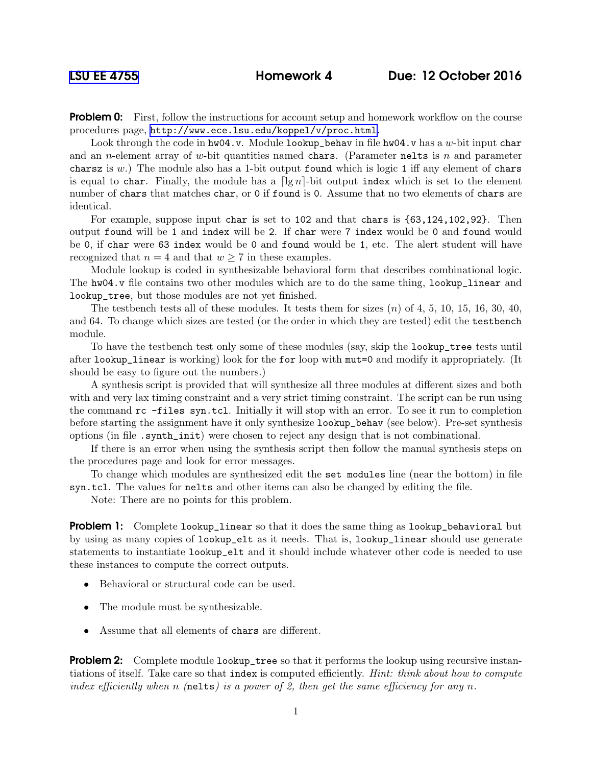**Problem 0:** First, follow the instructions for account setup and homework workflow on the course procedures page, <http://www.ece.lsu.edu/koppel/v/proc.html>.

Look through the code in  $hw04.v$ . Module lookup\_behav in file  $hw04.v$  has a w-bit input char and an *n*-element array of w-bit quantities named chars. (Parameter nelts is n and parameter chars is w.) The module also has a 1-bit output found which is logic 1 iff any element of chars is equal to char. Finally, the module has a  $\lceil \lg n \rceil$ -bit output index which is set to the element number of chars that matches char, or 0 if found is 0. Assume that no two elements of chars are identical.

For example, suppose input char is set to 102 and that chars is {63,124,102,92}. Then output found will be 1 and index will be 2. If char were 7 index would be 0 and found would be 0, if char were 63 index would be 0 and found would be 1, etc. The alert student will have recognized that  $n = 4$  and that  $w \ge 7$  in these examples.

Module lookup is coded in synthesizable behavioral form that describes combinational logic. The hw04.v file contains two other modules which are to do the same thing, lookup\_linear and lookup\_tree, but those modules are not yet finished.

The testbench tests all of these modules. It tests them for sizes  $(n)$  of 4, 5, 10, 15, 16, 30, 40, and 64. To change which sizes are tested (or the order in which they are tested) edit the testbench module.

To have the testbench test only some of these modules (say, skip the lookup\_tree tests until after lookup\_linear is working) look for the for loop with mut=0 and modify it appropriately. (It should be easy to figure out the numbers.)

A synthesis script is provided that will synthesize all three modules at different sizes and both with and very lax timing constraint and a very strict timing constraint. The script can be run using the command rc -files syn.tcl. Initially it will stop with an error. To see it run to completion before starting the assignment have it only synthesize lookup\_behav (see below). Pre-set synthesis options (in file .synth\_init) were chosen to reject any design that is not combinational.

If there is an error when using the synthesis script then follow the manual synthesis steps on the procedures page and look for error messages.

To change which modules are synthesized edit the set modules line (near the bottom) in file syn.tcl. The values for nelts and other items can also be changed by editing the file.

Note: There are no points for this problem.

**Problem 1:** Complete lookup\_linear so that it does the same thing as lookup\_behavioral but by using as many copies of lookup\_elt as it needs. That is, lookup\_linear should use generate statements to instantiate lookup\_elt and it should include whatever other code is needed to use these instances to compute the correct outputs.

- Behavioral or structural code can be used.
- The module must be synthesizable.
- Assume that all elements of chars are different.

**Problem 2:** Complete module lookup\_tree so that it performs the lookup using recursive instantiations of itself. Take care so that index is computed efficiently. *Hint: think about how to compute* index efficiently when n (nelts) is a power of 2, then get the same efficiency for any n.